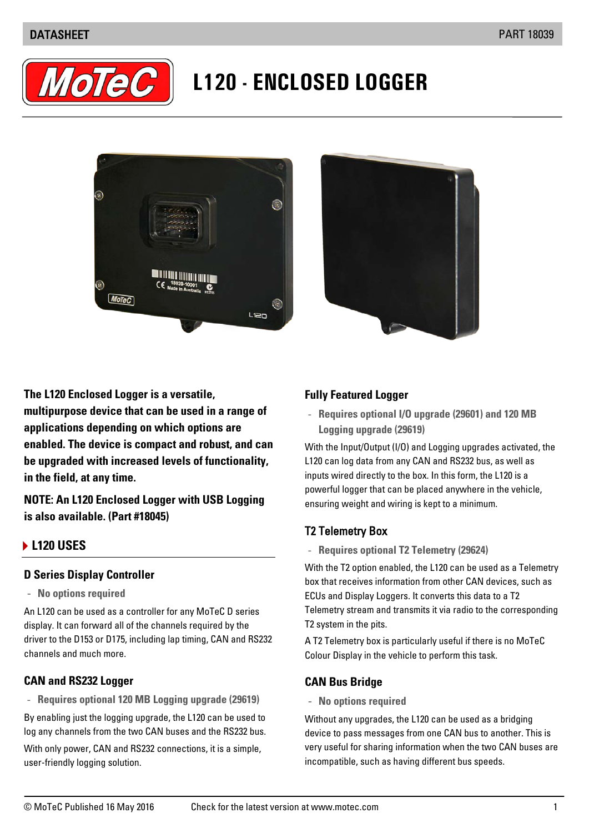### DATASHEET PART 18039



# **L120 - ENCLOSED LOGGER**





**The L120 Enclosed Logger is a versatile, multipurpose device that can be used in a range of applications depending on which options are enabled. The device is compact and robust, and can be upgraded with increased levels of functionality, in the field, at any time.**

**NOTE: An L120 Enclosed Logger with USB Logging is also available. (Part #18045)**

#### **L120 USES**

#### **D Series Display Controller**

- **No options required**

An L120 can be used as a controller for any MoTeC D series display. It can forward all of the channels required by the driver to the D153 or D175, including lap timing, CAN and RS232 channels and much more.

#### **CAN and RS232 Logger**

- **Requires optional 120 MB Logging upgrade (29619)**

By enabling just the logging upgrade, the L120 can be used to log any channels from the two CAN buses and the RS232 bus. With only power, CAN and RS232 connections, it is a simple, user-friendly logging solution.

#### **Fully Featured Logger**

- **Requires optional I/O upgrade (29601) and 120 MB Logging upgrade (29619)**

With the Input/Output (I/O) and Logging upgrades activated, the L120 can log data from any CAN and RS232 bus, as well as inputs wired directly to the box. In this form, the L120 is a powerful logger that can be placed anywhere in the vehicle, ensuring weight and wiring is kept to a minimum.

## T2 Telemetry Box

- **Requires optional T2 Telemetry (29624)**

With the T2 option enabled, the L120 can be used as a Telemetry box that receives information from other CAN devices, such as ECUs and Display Loggers. It converts this data to a T2 Telemetry stream and transmits it via radio to the corresponding T2 system in the pits.

A T2 Telemetry box is particularly useful if there is no MoTeC Colour Display in the vehicle to perform this task.

## **CAN Bus Bridge**

- **No options required**

Without any upgrades, the L120 can be used as a bridging device to pass messages from one CAN bus to another. This is very useful for sharing information when the two CAN buses are incompatible, such as having different bus speeds.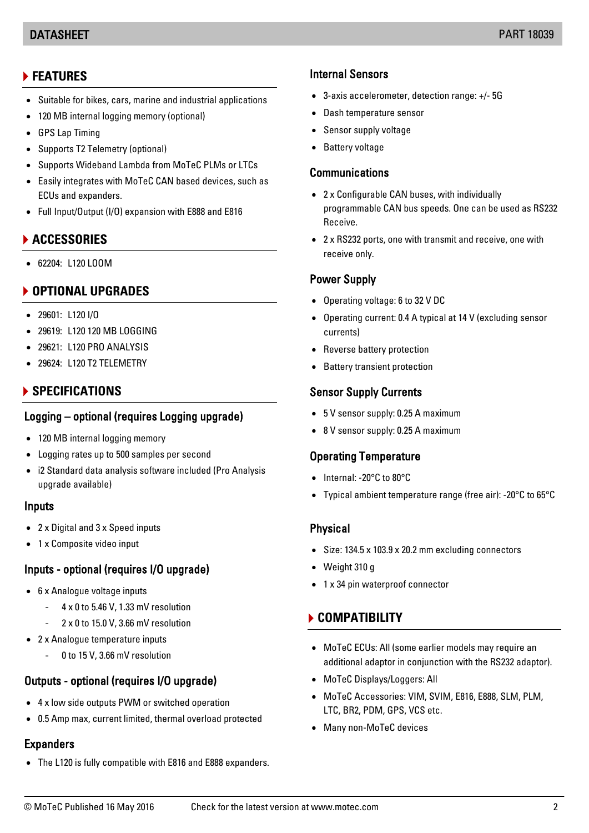#### DATASHEET PART 18039

# **FEATURES**

- Suitable for bikes, cars, marine and industrial applications
- 120 MB internal logging memory (optional)
- GPS Lap Timing
- Supports T2 Telemetry (optional)
- Supports Wideband Lambda from MoTeC PLMs or LTCs
- Easily integrates with MoTeC CAN based devices, such as ECUs and expanders.
- Full Input/Output (I/O) expansion with E888 and E816

# **ACCESSORIES**

• 62204: L120 LOOM

# **OPTIONAL UPGRADES**

- 29601: L120 I/O
- 29619: L120 120 MB LOGGING
- 29621: L120 PRO ANALYSIS
- 29624: L120 T2 TELEMETRY

# **SPECIFICATIONS**

## Logging – optional (requires Logging upgrade)

- 120 MB internal logging memory
- Logging rates up to 500 samples per second
- i2 Standard data analysis software included (Pro Analysis upgrade available)

## Inputs

- 2 x Digital and 3 x Speed inputs
- 1 x Composite video input

# Inputs - optional (requires I/O upgrade)

- 6 x Analogue voltage inputs
	- 4 x 0 to 5.46 V, 1.33 mV resolution
		- 2 x 0 to 15.0 V, 3.66 mV resolution
- 2 x Analogue temperature inputs
	- 0 to 15 V, 3.66 mV resolution

# Outputs - optional (requires I/O upgrade)

- 4 x low side outputs PWM or switched operation
- 0.5 Amp max, current limited, thermal overload protected

## **Expanders**

• The L120 is fully compatible with E816 and E888 expanders.

## Internal Sensors

- 3-axis accelerometer, detection range: +/- 5G
- Dash temperature sensor
- Sensor supply voltage
- Battery voltage

## **Communications**

- 2 x Configurable CAN buses, with individually programmable CAN bus speeds. One can be used as RS232 Receive.
- 2 x RS232 ports, one with transmit and receive, one with receive only.

#### Power Supply

- Operating voltage: 6 to 32 V DC
- Operating current: 0.4 A typical at 14 V (excluding sensor currents)
- Reverse battery protection
- Battery transient protection

#### Sensor Supply Currents

- 5 V sensor supply: 0.25 A maximum
- 8 V sensor supply: 0.25 A maximum

## Operating Temperature

- Internal: -20°C to 80°C
- Typical ambient temperature range (free air): -20°C to 65°C

#### **Physical**

- Size: 134.5 x 103.9 x 20.2 mm excluding connectors
- Weight 310 g
- 1 x 34 pin waterproof connector

## **COMPATIBILITY**

- MoTeC ECUs: All (some earlier models may require an additional adaptor in conjunction with the RS232 adaptor).
- MoTeC Displays/Loggers: All
- MoTeC Accessories: VIM, SVIM, E816, E888, SLM, PLM, LTC, BR2, PDM, GPS, VCS etc.
- Many non-MoTeC devices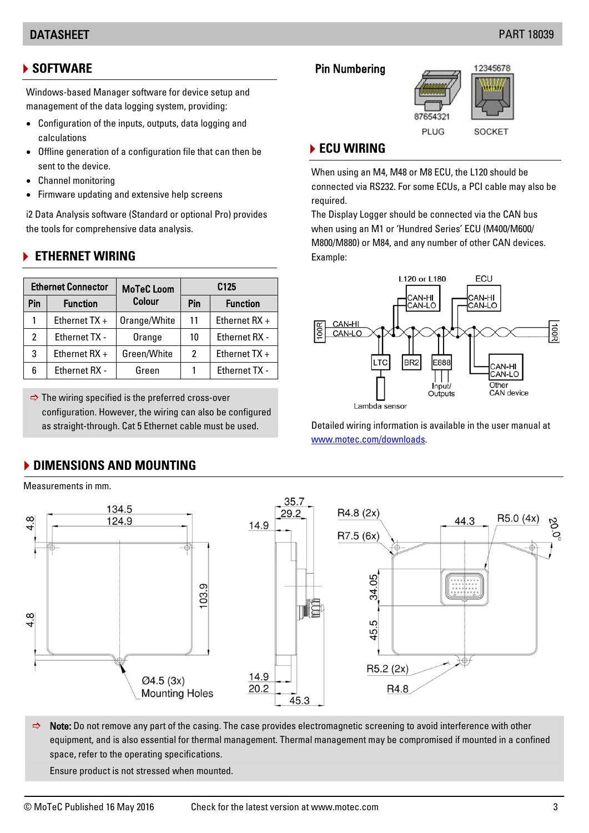### DATASHEET PART 18039

## **SOFTWARE**

Windows-based Manager software for device setup and management of the data logging system, providing:

- Configuration of the inputs, outputs, data logging and calculations
- Offline generation of a configuration file that can then be sent to the device.
- Channel monitoring
- Firmware updating and extensive help screens

i2 Data Analysis software (Standard or optional Pro) provides the tools for comprehensive data analysis.

## **ETHERNET WIRING**

| <b>Ethernet Connector</b> |                 | <b>MoTeC Loom</b> | C <sub>125</sub> |                      |
|---------------------------|-----------------|-------------------|------------------|----------------------|
| Pin                       | <b>Function</b> | Colour            | Pin              | <b>Function</b>      |
|                           | Ethernet $TX +$ | Orange/White      | 11               | Ethernet RX +        |
| 2                         | Ethernet TX -   | Orange            | 10               | Ethernet RX -        |
| 3                         | Ethernet $RX +$ | Green/White       | 2                | Ethernet TX +        |
| 6                         | Ethernet RX -   | Green             |                  | <b>Ethernet TX -</b> |

 $\Rightarrow$  The wiring specified is the preferred cross-over configuration. However, the wiring can also be configured as straight-through. Cat 5 Ethernet cable must be used.

**DIMENSIONS AND MOUNTING** 

## Pin Numbering



# **ECU WIRING**

When using an M4, M48 or M8 ECU, the L120 should be connected via RS232. For some ECUs, a PCI cable may also be required.

The Display Logger should be connected via the CAN bus when using an M1 or 'Hundred Series' ECU (M400/M600/ M800/M880) or M84, and any number of other CAN devices. Example:



Detailed wiring information is available in the user manual at [www.motec.com/downloads.](http://www.motec.com/downloads)



 $\Rightarrow$  Note: Do not remove any part of the casing. The case provides electromagnetic screening to avoid interference with other equipment, and is also essential for thermal management. Thermal management may be compromised if mounted in a confined space, refer to the operating specifications.

Ensure product is not stressed when mounted.